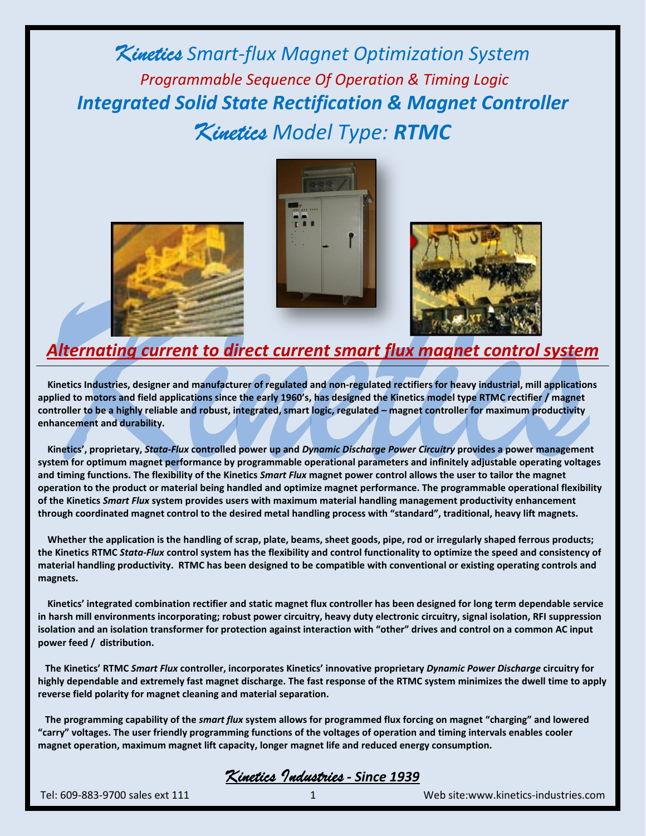*Kinetics Smart-flux Magnet Optimization System Programmable Sequence Of Operation & Timing Logic Integrated Solid State Rectification & Magnet Controller Kinetics Model Type: RTMC*







# *Alternating current to direct current smart flux magnet control system*

 **Kinetics Industries, designer and manufacturer of regulated and non-regulated rectifiers for heavy industrial, mill applications applied to motors and field applications since the early 1960's, has designed the Kinetics model type RTMC rectifier / magnet controller to be a highly reliable and robust, integrated, smart logic, regulated – magnet controller for maximum productivity enhancement and durability.**

 **Kinetics', proprietary,** *Stata-Flux* **controlled power up and** *Dynamic Discharge Power Circuitry* **provides a power management system for optimum magnet performance by programmable operational parameters and infinitely adjustable operating voltages and timing functions. The flexibility of the Kinetics** *Smart Flux* **magnet power control allows the user to tailor the magnet operation to the product or material being handled and optimize magnet performance. The programmable operational flexibility of the Kinetics** *Smart Flux* **system provides users with maximum material handling management productivity enhancement through coordinated magnet control to the desired metal handling process with "standard", traditional, heavy lift magnets.**

 **Whether the application is the handling of scrap, plate, beams, sheet goods, pipe, rod or irregularly shaped ferrous products; the Kinetics RTMC** *Stata-Flux* **control system has the flexibility and control functionality to optimize the speed and consistency of material handling productivity. RTMC has been designed to be compatible with conventional or existing operating controls and magnets.**

 **Kinetics' integrated combination rectifier and static magnet flux controller has been designed for long term dependable service in harsh mill environments incorporating; robust power circuitry, heavy duty electronic circuitry, signal isolation, RFI suppression isolation and an isolation transformer for protection against interaction with "other" drives and control on a common AC input power feed / distribution.**

 **The Kinetics' RTMC** *Smart Flux* **controller, incorporates Kinetics' innovative proprietary** *Dynamic Power Discharge* **circuitry for highly dependable and extremely fast magnet discharge. The fast response of the RTMC system minimizes the dwell time to apply reverse field polarity for magnet cleaning and material separation.**

 **The programming capability of the** *smart flux* **system allows for programmed flux forcing on magnet "charging" and lowered "carry" voltages. The user friendly programming functions of the voltages of operation and timing intervals enables cooler magnet operation, maximum magnet lift capacity, longer magnet life and reduced energy consumption.**

*Kinetics Industries - Since 1939*

Tel: 609-883-9700 sales ext 111 1 Web site:www.kinetics-industries.com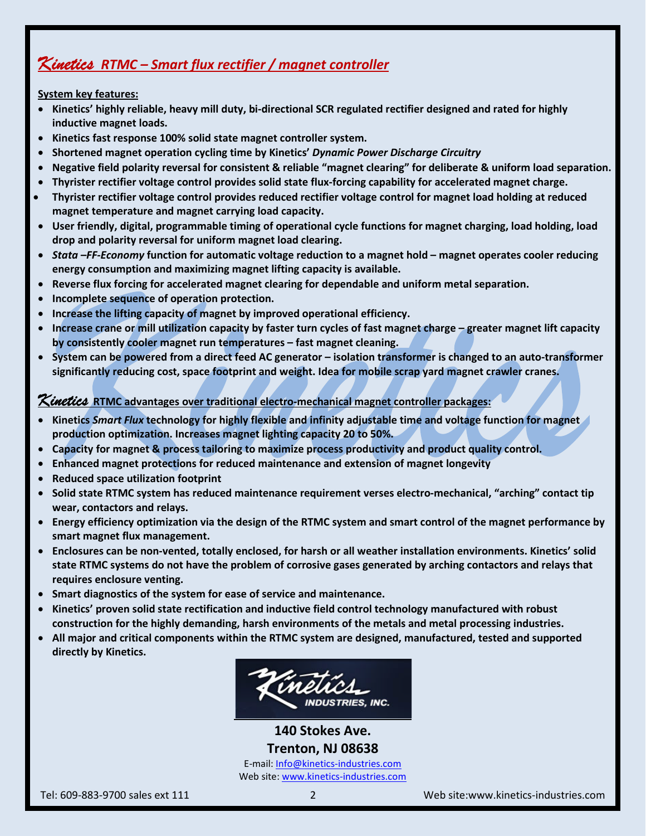## *Kinetics RTMC – Smart flux rectifier / magnet controller*

**System key features:**

- **Kinetics' highly reliable, heavy mill duty, bi-directional SCR regulated rectifier designed and rated for highly inductive magnet loads.**
- **Kinetics fast response 100% solid state magnet controller system.**
- **Shortened magnet operation cycling time by Kinetics'** *Dynamic Power Discharge Circuitry*
- **Negative field polarity reversal for consistent & reliable "magnet clearing" for deliberate & uniform load separation.**
- **Thyrister rectifier voltage control provides solid state flux-forcing capability for accelerated magnet charge.**
- **Thyrister rectifier voltage control provides reduced rectifier voltage control for magnet load holding at reduced magnet temperature and magnet carrying load capacity.**
- **User friendly, digital, programmable timing of operational cycle functions for magnet charging, load holding, load drop and polarity reversal for uniform magnet load clearing.**
- *Stata –FF-Economy* **function for automatic voltage reduction to a magnet hold – magnet operates cooler reducing energy consumption and maximizing magnet lifting capacity is available.**
- **Reverse flux forcing for accelerated magnet clearing for dependable and uniform metal separation.**
- **Incomplete sequence of operation protection.**
- **Increase the lifting capacity of magnet by improved operational efficiency.**
- **Increase crane or mill utilization capacity by faster turn cycles of fast magnet charge – greater magnet lift capacity by consistently cooler magnet run temperatures – fast magnet cleaning.**
- **System can be powered from a direct feed AC generator – isolation transformer is changed to an auto-transformer significantly reducing cost, space footprint and weight. Idea for mobile scrap yard magnet crawler cranes.**

*Kinetics* **RTMC advantages over traditional electro-mechanical magnet controller packages:**

- **Kinetics** *Smart Flux* **technology for highly flexible and infinity adjustable time and voltage function for magnet production optimization. Increases magnet lighting capacity 20 to 50%.**
- **Capacity for magnet & process tailoring to maximize process productivity and product quality control.**
- **Enhanced magnet protections for reduced maintenance and extension of magnet longevity**
- **Reduced space utilization footprint**
- **Solid state RTMC system has reduced maintenance requirement verses electro-mechanical, "arching" contact tip wear, contactors and relays.**
- **Energy efficiency optimization via the design of the RTMC system and smart control of the magnet performance by smart magnet flux management.**
- **Enclosures can be non-vented, totally enclosed, for harsh or all weather installation environments. Kinetics' solid state RTMC systems do not have the problem of corrosive gases generated by arching contactors and relays that requires enclosure venting.**
- **Smart diagnostics of the system for ease of service and maintenance.**
- **Kinetics' proven solid state rectification and inductive field control technology manufactured with robust construction for the highly demanding, harsh environments of the metals and metal processing industries.**
- **All major and critical components within the RTMC system are designed, manufactured, tested and supported directly by Kinetics.**



**140 Stokes Ave. Trenton, NJ 08638** E-mail[: Info@kinetics-industries.com](mailto:Info@kinetics-industries.com) Web site[: www.kinetics-industries.com](http://www.kinetics-industries.com/)